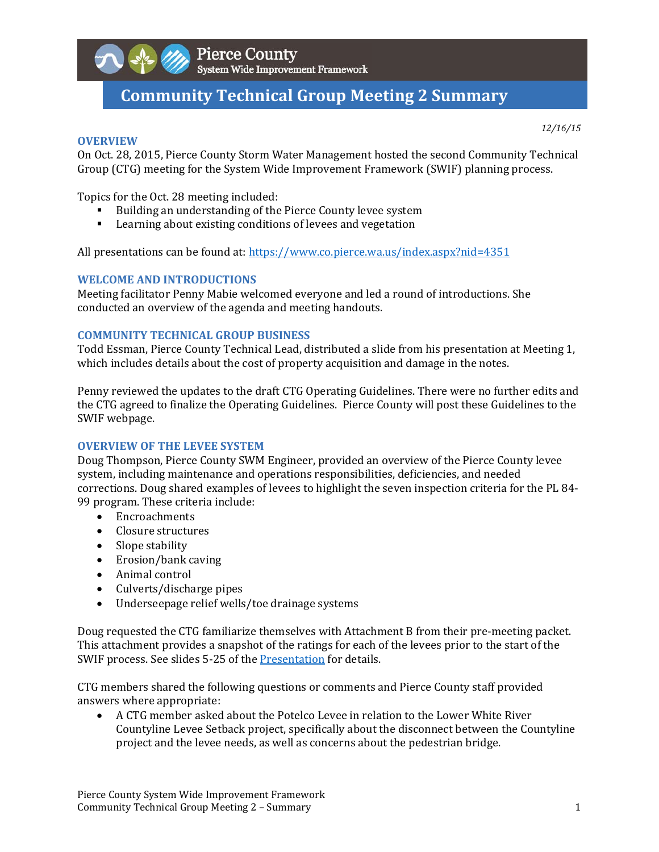

# **Community Technical Group Meeting 2 Summary**

#### **OVERVIEW**

*12/16/15*

On Oct. 28, 2015, Pierce County Storm Water Management hosted the second Community Technical Group (CTG) meeting for the System Wide Improvement Framework (SWIF) planning process.

Topics for the Oct. 28 meeting included:

- Building an understanding of the Pierce County levee system
- Learning about existing conditions of levees and vegetation

All presentations can be found at: https://www.co.pierce.wa.us/index.aspx?nid=4351

#### **WELCOME AND INTRODUCTIONS**

Meeting facilitator Penny Mabie welcomed everyone and led a round of introductions. She conducted an overview of the agenda and meeting handouts.

#### **COMMUNITY TECHNICAL GROUP BUSINESS**

Todd Essman, Pierce County Technical Lead, distributed a slide from his presentation at Meeting 1, which includes details about the cost of property acquisition and damage in the notes.

Penny reviewed the updates to the draft CTG Operating Guidelines. There were no further edits and the CTG agreed to finalize the Operating Guidelines. Pierce County will post these Guidelines to the SWIF webpage.

#### **OVERVIEW OF THE LEVEE SYSTEM**

Doug Thompson, Pierce County SWM Engineer, provided an overview of the Pierce County levee system, including maintenance and operations responsibilities, deficiencies, and needed corrections. Doug shared examples of levees to highlight the seven inspection criteria for the PL 84-99 program. These criteria include:

- Encroachments
- Closure structures
- Slope stability
- Erosion/bank caving
- Animal control
- $\bullet$  Culverts/discharge pipes
- Underseepage relief wells/toe drainage systems

Doug requested the CTG familiarize themselves with Attachment B from their pre-meeting packet. This attachment provides a snapshot of the ratings for each of the levees prior to the start of the SWIF process. See slides 5-25 of the Presentation for details.

CTG members shared the following questions or comments and Pierce County staff provided answers where appropriate:

• A CTG member asked about the Potelco Levee in relation to the Lower White River Countyline Levee Setback project, specifically about the disconnect between the Countyline project and the levee needs, as well as concerns about the pedestrian bridge.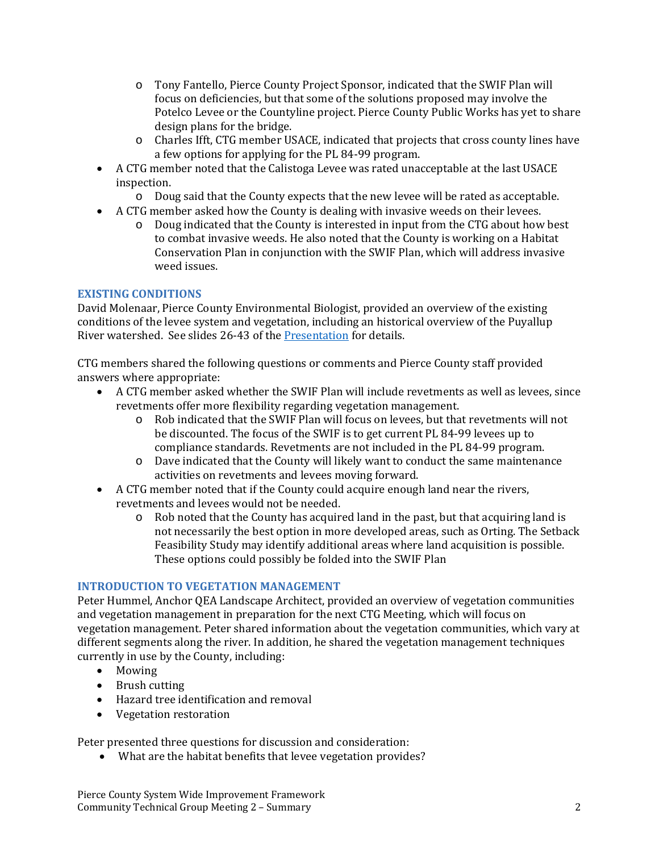- o Tony Fantello, Pierce County Project Sponsor, indicated that the SWIF Plan will focus on deficiencies, but that some of the solutions proposed may involve the Potelco Levee or the Countyline project. Pierce County Public Works has yet to share design plans for the bridge.
- o Charles Ifft, CTG member USACE, indicated that projects that cross county lines have a few options for applying for the PL 84-99 program.
- A CTG member noted that the Calistoga Levee was rated unacceptable at the last USACE inspection.
	- $\circ$  Doug said that the County expects that the new levee will be rated as acceptable.
- A CTG member asked how the County is dealing with invasive weeds on their levees.
	- $\circ$  Doug indicated that the County is interested in input from the CTG about how best to combat invasive weeds. He also noted that the County is working on a Habitat Conservation Plan in conjunction with the SWIF Plan, which will address invasive weed issues.

### **EXISTING CONDITIONS**

David Molenaar, Pierce County Environmental Biologist, provided an overview of the existing conditions of the levee system and vegetation, including an historical overview of the Puyallup River watershed. See slides 26-43 of the Presentation for details.

CTG members shared the following questions or comments and Pierce County staff provided answers where appropriate:

- A CTG member asked whether the SWIF Plan will include revetments as well as levees, since revetments offer more flexibility regarding vegetation management.
	- $\circ$  Rob indicated that the SWIF Plan will focus on levees, but that revetments will not be discounted. The focus of the SWIF is to get current PL 84-99 levees up to compliance standards. Revetments are not included in the PL 84-99 program.
	- $\circ$  Dave indicated that the County will likely want to conduct the same maintenance activities on revetments and levees moving forward.
- A CTG member noted that if the County could acquire enough land near the rivers, revetments and levees would not be needed.
	- $\circ$  Rob noted that the County has acquired land in the past, but that acquiring land is not necessarily the best option in more developed areas, such as Orting. The Setback Feasibility Study may identify additional areas where land acquisition is possible. These options could possibly be folded into the SWIF Plan

#### **INTRODUCTION TO VEGETATION MANAGEMENT**

Peter Hummel, Anchor OEA Landscape Architect, provided an overview of vegetation communities and vegetation management in preparation for the next CTG Meeting, which will focus on vegetation management. Peter shared information about the vegetation communities, which vary at different segments along the river. In addition, he shared the vegetation management techniques currently in use by the County, including:

- Mowing
- Brush cutting
- Hazard tree identification and removal
- Vegetation restoration

Peter presented three questions for discussion and consideration:

• What are the habitat benefits that levee vegetation provides?

Pierce County System Wide Improvement Framework Community Technical Group Meeting 2 – Summary **2008** 2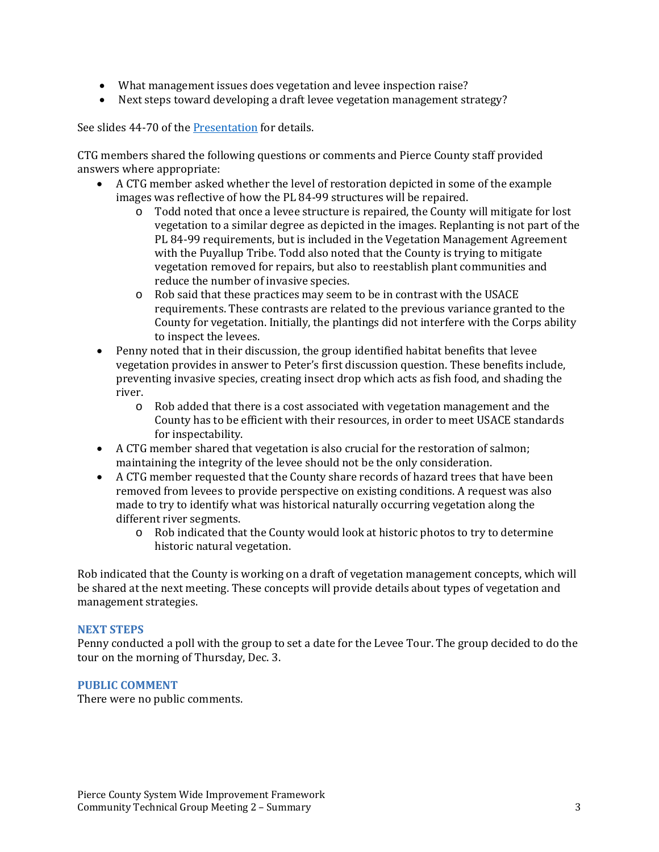- What management issues does vegetation and levee inspection raise?
- Next steps toward developing a draft levee vegetation management strategy?

See slides 44-70 of the Presentation for details.

CTG members shared the following questions or comments and Pierce County staff provided answers where appropriate:

- A CTG member asked whether the level of restoration depicted in some of the example images was reflective of how the PL 84-99 structures will be repaired.
	- $\circ$  Todd noted that once a levee structure is repaired, the County will mitigate for lost vegetation to a similar degree as depicted in the images. Replanting is not part of the PL 84-99 requirements, but is included in the Vegetation Management Agreement with the Puyallup Tribe. Todd also noted that the County is trying to mitigate vegetation removed for repairs, but also to reestablish plant communities and reduce the number of invasive species.
	- $\circ$  Rob said that these practices may seem to be in contrast with the USACE requirements. These contrasts are related to the previous variance granted to the County for vegetation. Initially, the plantings did not interfere with the Corps ability to inspect the levees.
- Penny noted that in their discussion, the group identified habitat benefits that levee vegetation provides in answer to Peter's first discussion question. These benefits include, preventing invasive species, creating insect drop which acts as fish food, and shading the river.
	- $\circ$  Rob added that there is a cost associated with vegetation management and the County has to be efficient with their resources, in order to meet USACE standards for inspectability.
- A CTG member shared that vegetation is also crucial for the restoration of salmon; maintaining the integrity of the levee should not be the only consideration.
- A CTG member requested that the County share records of hazard trees that have been removed from levees to provide perspective on existing conditions. A request was also made to try to identify what was historical naturally occurring vegetation along the different river segments.
	- o Rob indicated that the County would look at historic photos to try to determine historic natural vegetation.

Rob indicated that the County is working on a draft of vegetation management concepts, which will be shared at the next meeting. These concepts will provide details about types of vegetation and management strategies.

#### **NEXT STEPS**

Penny conducted a poll with the group to set a date for the Levee Tour. The group decided to do the tour on the morning of Thursday, Dec. 3.

#### **PUBLIC COMMENT**

There were no public comments.